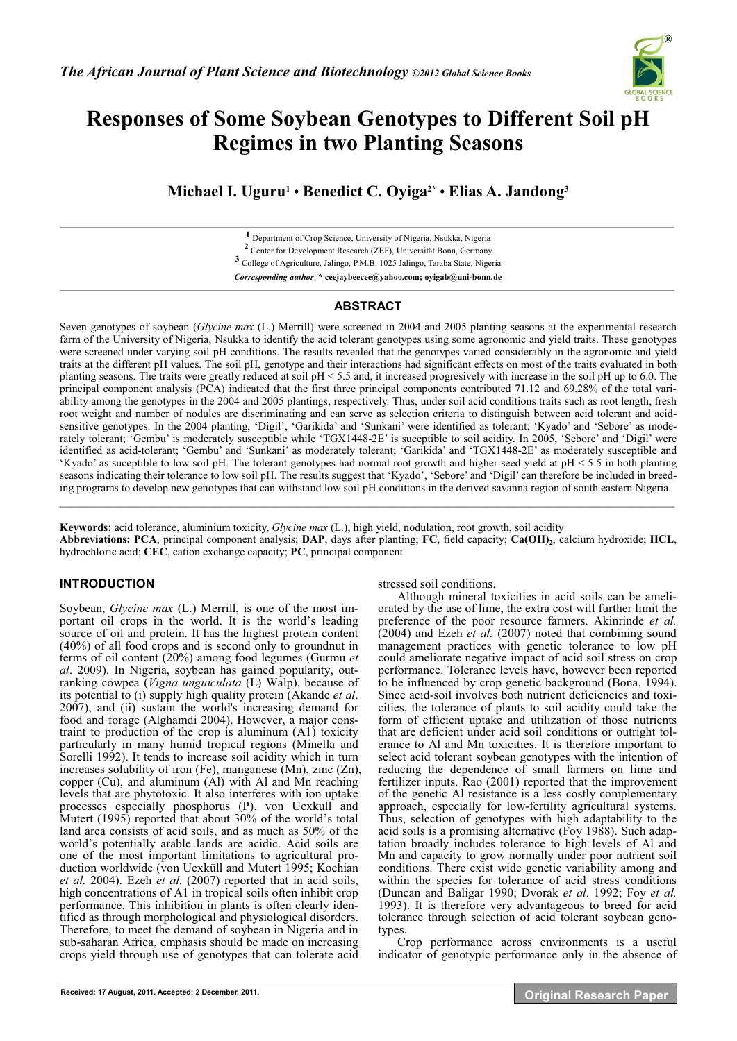

# **Responses of Some Soybean Genotypes to Different Soil pH Regimes in two Planting Seasons**

**Michael I. Uguru1** • **Benedict C. Oyiga2\*** • **Elias A. Jandong3**

**1** Department of Crop Science, University of Nigeria, Nsukka, Nigeria **2** Center for Development Research (ZEF), Universität Bonn, Germany

**3** College of Agriculture, Jalingo, P.M.B. 1025 Jalingo, Taraba State, Nigeria

*Corresponding author*: **\* ceejaybeecee@yahoo.com; oyigab@uni-bonn.de** 

## **ABSTRACT**

Seven genotypes of soybean (*Glycine max* (L.) Merrill) were screened in 2004 and 2005 planting seasons at the experimental research farm of the University of Nigeria, Nsukka to identify the acid tolerant genotypes using some agronomic and yield traits. These genotypes were screened under varying soil pH conditions. The results revealed that the genotypes varied considerably in the agronomic and yield traits at the different pH values. The soil pH, genotype and their interactions had significant effects on most of the traits evaluated in both planting seasons. The traits were greatly reduced at soil pH < 5.5 and, it increased progresively with increase in the soil pH up to 6.0. The principal component analysis (PCA) indicated that the first three principal components contributed 71.12 and 69.28% of the total variability among the genotypes in the 2004 and 2005 plantings, respectively. Thus, under soil acid conditions traits such as root length, fresh root weight and number of nodules are discriminating and can serve as selection criteria to distinguish between acid tolerant and acidsensitive genotypes. In the 2004 planting, **'**Digil', 'Garikida' and 'Sunkani' were identified as tolerant; 'Kyado' and 'Sebore' as moderately tolerant; 'Gembu' is moderately susceptible while 'TGX1448-2E' is suceptible to soil acidity. In 2005, 'Sebore' and 'Digil' were identified as acid-tolerant; 'Gembu' and 'Sunkani' as moderately tolerant; 'Garikida' and 'TGX1448-2E' as moderately susceptible and 'Kyado' as suceptible to low soil pH. The tolerant genotypes had normal root growth and higher seed yield at pH < 5.5 in both planting seasons indicating their tolerance to low soil pH. The results suggest that 'Kyado', 'Sebore' and 'Digil' can therefore be included in breeding programs to develop new genotypes that can withstand low soil pH conditions in the derived savanna region of south eastern Nigeria.  $\mathcal{L}_\mathcal{L} = \mathcal{L}_\mathcal{L} = \mathcal{L}_\mathcal{L} = \mathcal{L}_\mathcal{L} = \mathcal{L}_\mathcal{L} = \mathcal{L}_\mathcal{L} = \mathcal{L}_\mathcal{L} = \mathcal{L}_\mathcal{L} = \mathcal{L}_\mathcal{L} = \mathcal{L}_\mathcal{L} = \mathcal{L}_\mathcal{L} = \mathcal{L}_\mathcal{L} = \mathcal{L}_\mathcal{L} = \mathcal{L}_\mathcal{L} = \mathcal{L}_\mathcal{L} = \mathcal{L}_\mathcal{L} = \mathcal{L}_\mathcal{L}$ 

**Keywords:** acid tolerance, aluminium toxicity, *Glycine max* (L.), high yield, nodulation, root growth, soil acidity Abbreviations: PCA, principal component analysis; DAP, days after planting; FC, field capacity; Ca(OH)<sub>2</sub>, calcium hydroxide; HCL, hydrochloric acid; **CEC**, cation exchange capacity; **PC**, principal component

## **INTRODUCTION**

Soybean, *Glycine max* (L.) Merrill, is one of the most important oil crops in the world. It is the world's leading source of oil and protein. It has the highest protein content (40%) of all food crops and is second only to groundnut in terms of oil content (20%) among food legumes (Gurmu *et al*. 2009). In Nigeria, soybean has gained popularity, outranking cowpea (*Vigna unguiculata* (L) Walp), because of its potential to (i) supply high quality protein (Akande *et al*. 2007), and (ii) sustain the world's increasing demand for food and forage (Alghamdi 2004). However, a major constraint to production of the crop is aluminum (A1) toxicity particularly in many humid tropical regions (Minella and Sorelli 1992). It tends to increase soil acidity which in turn increases solubility of iron (Fe), manganese (Mn), zinc (Zn), copper (Cu), and aluminum (Al) with Al and Mn reaching levels that are phytotoxic. It also interferes with ion uptake processes especially phosphorus (P). von Uexkull and Mutert (1995) reported that about 30% of the world's total land area consists of acid soils, and as much as 50% of the world's potentially arable lands are acidic. Acid soils are one of the most important limitations to agricultural production worldwide (von Uexküll and Mutert 1995; Kochian *et al.* 2004). Ezeh *et al.* (2007) reported that in acid soils, high concentrations of A1 in tropical soils often inhibit crop performance. This inhibition in plants is often clearly identified as through morphological and physiological disorders. Therefore, to meet the demand of soybean in Nigeria and in sub-saharan Africa, emphasis should be made on increasing crops yield through use of genotypes that can tolerate acid

stressed soil conditions.

Although mineral toxicities in acid soils can be ameliorated by the use of lime, the extra cost will further limit the preference of the poor resource farmers. Akinrinde *et al.*  (2004) and Ezeh *et al.* (2007) noted that combining sound management practices with genetic tolerance to low pH could ameliorate negative impact of acid soil stress on crop performance. Tolerance levels have, however been reported to be influenced by crop genetic background (Bona, 1994). Since acid-soil involves both nutrient deficiencies and toxicities, the tolerance of plants to soil acidity could take the form of efficient uptake and utilization of those nutrients that are deficient under acid soil conditions or outright tolerance to Al and Mn toxicities. It is therefore important to select acid tolerant soybean genotypes with the intention of reducing the dependence of small farmers on lime and fertilizer inputs. Rao (2001) reported that the improvement of the genetic Al resistance is a less costly complementary approach, especially for low-fertility agricultural systems. Thus, selection of genotypes with high adaptability to the acid soils is a promising alternative (Foy 1988). Such adaptation broadly includes tolerance to high levels of Al and Mn and capacity to grow normally under poor nutrient soil conditions. There exist wide genetic variability among and within the species for tolerance of acid stress conditions (Duncan and Baligar 1990; Dvorak *et al*. 1992; Foy *et al.* 1993). It is therefore very advantageous to breed for acid tolerance through selection of acid tolerant soybean genotypes.

Crop performance across environments is a useful indicator of genotypic performance only in the absence of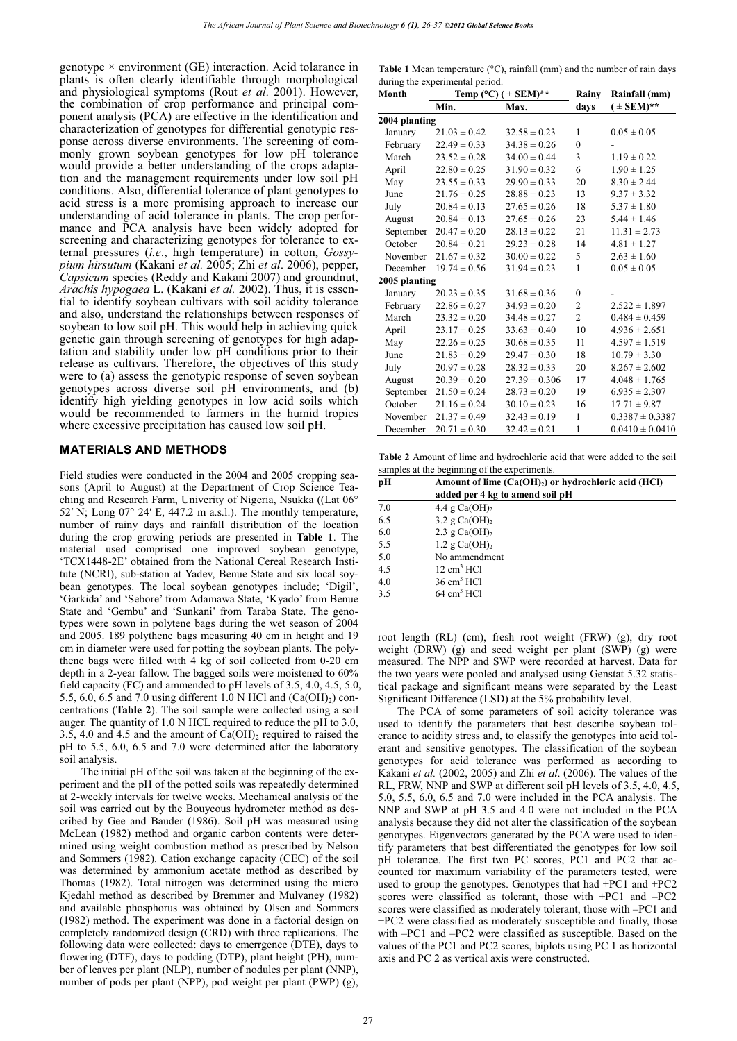genotype  $\times$  environment (GE) interaction. Acid tolarance in plants is often clearly identifiable through morphological and physiological symptoms (Rout *et al*. 2001). However, the combination of crop performance and principal component analysis (PCA) are effective in the identification and characterization of genotypes for differential genotypic response across diverse environments. The screening of commonly grown soybean genotypes for low pH tolerance would provide a better understanding of the crops adaptation and the management requirements under low soil pH conditions. Also, differential tolerance of plant genotypes to acid stress is a more promising approach to increase our understanding of acid tolerance in plants. The crop performance and PCA analysis have been widely adopted for screening and characterizing genotypes for tolerance to external pressures (*i.e*., high temperature) in cotton, *Gossypium hirsutum* (Kakani *et al.* 2005; Zhi *et al*. 2006), pepper, *Capsicum* species (Reddy and Kakani 2007) and groundnut, *Arachis hypogaea* L. (Kakani *et al.* 2002). Thus, it is essential to identify soybean cultivars with soil acidity tolerance and also, understand the relationships between responses of soybean to low soil pH. This would help in achieving quick genetic gain through screening of genotypes for high adaptation and stability under low pH conditions prior to their release as cultivars. Therefore, the objectives of this study were to (a) assess the genotypic response of seven soybean genotypes across diverse soil pH environments, and (b) identify high yielding genotypes in low acid soils which would be recommended to farmers in the humid tropics where excessive precipitation has caused low soil pH.

#### **MATERIALS AND METHODS**

Field studies were conducted in the 2004 and 2005 cropping seasons (April to August) at the Department of Crop Science Teaching and Research Farm, Univerity of Nigeria, Nsukka ((Lat 06°  $52'$  N; Long  $07^{\circ}$  24' E, 447.2 m a.s.l.). The monthly temperature, number of rainy days and rainfall distribution of the location during the crop growing periods are presented in **Table 1**. The material used comprised one improved soybean genotype, 'TCX1448-2E' obtained from the National Cereal Research Institute (NCRI), sub-station at Yadev, Benue State and six local soybean genotypes. The local soybean genotypes include; 'Digil', 'Garkida' and 'Sebore' from Adamawa State, 'Kyado' from Benue State and 'Gembu' and 'Sunkani' from Taraba State. The genotypes were sown in polytene bags during the wet season of 2004 and 2005. 189 polythene bags measuring 40 cm in height and 19 cm in diameter were used for potting the soybean plants. The polythene bags were filled with 4 kg of soil collected from 0-20 cm depth in a 2-year fallow. The bagged soils were moistened to 60% field capacity (FC) and ammended to pH levels of 3.5, 4.0, 4.5, 5.0, 5.5, 6.0, 6.5 and 7.0 using different 1.0 N HCl and  $(Ca(OH<sub>2</sub>))$  concentrations (**Table 2**). The soil sample were collected using a soil auger. The quantity of 1.0 N HCL required to reduce the pH to 3.0, 3.5, 4.0 and 4.5 and the amount of  $Ca(OH)_2$  required to raised the pH to 5.5, 6.0, 6.5 and 7.0 were determined after the laboratory soil analysis.

The initial pH of the soil was taken at the beginning of the experiment and the pH of the potted soils was repeatedly determined at 2-weekly intervals for twelve weeks. Mechanical analysis of the soil was carried out by the Bouycous hydrometer method as described by Gee and Bauder (1986). Soil pH was measured using McLean (1982) method and organic carbon contents were determined using weight combustion method as prescribed by Nelson and Sommers (1982). Cation exchange capacity (CEC) of the soil was determined by ammonium acetate method as described by Thomas (1982). Total nitrogen was determined using the micro Kjedahl method as described by Bremmer and Mulvaney (1982) and available phosphorus was obtained by Olsen and Sommers (1982) method. The experiment was done in a factorial design on completely randomized design (CRD) with three replications. The following data were collected: days to emerrgence (DTE), days to flowering (DTF), days to podding (DTP), plant height (PH), number of leaves per plant (NLP), number of nodules per plant (NNP), number of pods per plant (NPP), pod weight per plant (PWP) (g),

**Table 1** Mean temperature (°C), rainfall (mm) and the number of rain days during the experimental period.

| Month         |                  | Temp (°C) ( $\pm$ SEM)** | Rainy          | Rainfall (mm)       |
|---------------|------------------|--------------------------|----------------|---------------------|
|               | Min.             | Max.                     | days           | $( \pm$ SEM)**      |
| 2004 planting |                  |                          |                |                     |
| January       | $21.03 \pm 0.42$ | $32.58 \pm 0.23$         | 1              | $0.05 \pm 0.05$     |
| February      | $22.49 \pm 0.33$ | $34.38 \pm 0.26$         | $\theta$       |                     |
| March         | $23.52 \pm 0.28$ | $34.00 \pm 0.44$         | 3              | $1.19 \pm 0.22$     |
| April         | $22.80 \pm 0.25$ | $31.90 \pm 0.32$         | 6              | $1.90 \pm 1.25$     |
| May           | $23.55 \pm 0.33$ | $29.90 \pm 0.33$         | 20             | $8.30 \pm 2.44$     |
| June          | $21.76 \pm 0.25$ | $28.88 \pm 0.23$         | 13             | $9.37 \pm 3.32$     |
| July          | $20.84 \pm 0.13$ | $27.65 \pm 0.26$         | 18             | $5.37 \pm 1.80$     |
| August        | $20.84 \pm 0.13$ | $27.65 \pm 0.26$         | 23             | $5.44 \pm 1.46$     |
| September     | $20.47 \pm 0.20$ | $28.13 \pm 0.22$         | 21             | $11.31 \pm 2.73$    |
| October       | $20.84 \pm 0.21$ | $29.23 \pm 0.28$         | 14             | $4.81 \pm 1.27$     |
| November      | $21.67 \pm 0.32$ | $30.00 \pm 0.22$         | 5              | $2.63 \pm 1.60$     |
| December      | $19.74 \pm 0.56$ | $31.94 \pm 0.23$         | 1              | $0.05 \pm 0.05$     |
| 2005 planting |                  |                          |                |                     |
| January       | $20.23 \pm 0.35$ | $31.68 \pm 0.36$         | $\theta$       |                     |
| February      | $22.86 \pm 0.27$ | $34.93 \pm 0.20$         | 2              | $2.522 \pm 1.897$   |
| March         | $23.32 \pm 0.20$ | $34.48 \pm 0.27$         | $\overline{c}$ | $0.484 \pm 0.459$   |
| April         | $23.17 \pm 0.25$ | $33.63 \pm 0.40$         | 10             | $4.936 \pm 2.651$   |
| May           | $22.26 \pm 0.25$ | $30.68 \pm 0.35$         | 11             | $4.597 \pm 1.519$   |
| June          | $21.83 \pm 0.29$ | $29.47 \pm 0.30$         | 18             | $10.79 \pm 3.30$    |
| July          | $20.97 \pm 0.28$ | $28.32 \pm 0.33$         | 20             | $8.267 \pm 2.602$   |
| August        | $20.39 \pm 0.20$ | $27.39 \pm 0.306$        | 17             | $4.048 \pm 1.765$   |
| September     | $21.50 \pm 0.24$ | $28.73 \pm 0.20$         | 19             | $6.935 \pm 2.307$   |
| October       | $21.16 \pm 0.24$ | $30.10 \pm 0.23$         | 16             | $17.71 \pm 9.87$    |
| November      | $21.37 \pm 0.49$ | $32.43 \pm 0.19$         | $\mathbf{1}$   | $0.3387 \pm 0.3387$ |
| December      | $20.71 \pm 0.30$ | $32.42 \pm 0.21$         | 1              | $0.0410 \pm 0.0410$ |

**Table 2** Amount of lime and hydrochloric acid that were added to the soil samples at the beginning of the experiments.

| pН  | Amount of lime $(Ca(OH)2)$ or hydrochloric acid (HCl)<br>added per 4 kg to amend soil pH |
|-----|------------------------------------------------------------------------------------------|
|     |                                                                                          |
| 7.0 | 4.4 g $Ca(OH)$ ,                                                                         |
| 6.5 | 3.2 g $Ca(OH)$ <sub>2</sub>                                                              |
| 6.0 | 2.3 g $Ca(OH)2$                                                                          |
| 5.5 | 1.2 g $Ca(OH)$ <sub>2</sub>                                                              |
| 5.0 | No ammendment                                                                            |
| 4.5 | $12 \text{ cm}^3$ HCl                                                                    |
| 4.0 | $36 \text{ cm}^3$ HCl                                                                    |
| 3.5 | $64 \text{ cm}^3$ HCl                                                                    |

root length (RL) (cm), fresh root weight (FRW) (g), dry root weight (DRW) (g) and seed weight per plant (SWP) (g) were measured. The NPP and SWP were recorded at harvest. Data for the two years were pooled and analysed using Genstat 5.32 statistical package and significant means were separated by the Least Significant Difference (LSD) at the 5% probability level.

The PCA of some parameters of soil acicity tolerance was used to identify the parameters that best describe soybean tolerance to acidity stress and, to classify the genotypes into acid tolerant and sensitive genotypes. The classification of the soybean genotypes for acid tolerance was performed as according to Kakani *et al.* (2002, 2005) and Zhi *et al*. (2006). The values of the RL, FRW, NNP and SWP at different soil pH levels of 3.5, 4.0, 4.5, 5.0, 5.5, 6.0, 6.5 and 7.0 were included in the PCA analysis. The NNP and SWP at pH 3.5 and 4.0 were not included in the PCA analysis because they did not alter the classification of the soybean genotypes. Eigenvectors generated by the PCA were used to identify parameters that best differentiated the genotypes for low soil pH tolerance. The first two PC scores, PC1 and PC2 that accounted for maximum variability of the parameters tested, were used to group the genotypes. Genotypes that had +PC1 and +PC2 scores were classified as tolerant, those with +PC1 and –PC2 scores were classified as moderately tolerant, those with –PC1 and +PC2 were classified as moderately susceptible and finally, those with –PC1 and –PC2 were classified as susceptible. Based on the values of the PC1 and PC2 scores, biplots using PC 1 as horizontal axis and PC 2 as vertical axis were constructed.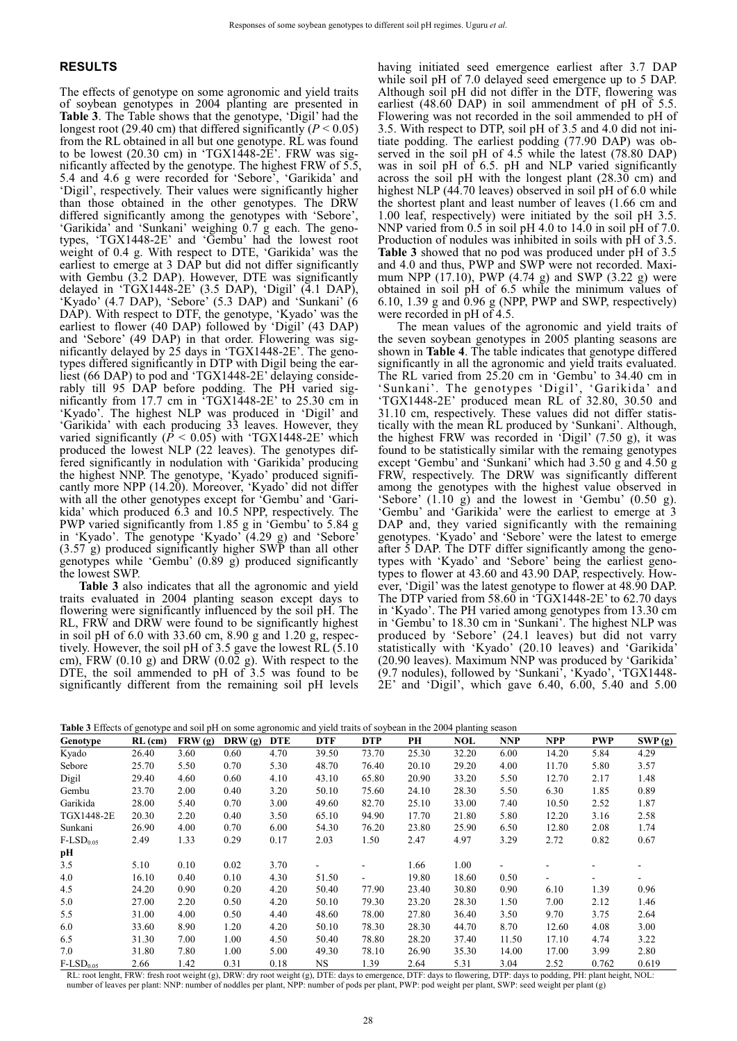### **RESULTS**

The effects of genotype on some agronomic and yield traits of soybean genotypes in 2004 planting are presented in **Table 3**. The Table shows that the genotype, 'Digil' had the longest root (29.40 cm) that differed significantly  $(P < 0.05)$ from the RL obtained in all but one genotype. RL was found to be lowest  $(20.30 \text{ cm})$  in 'TGX1448-2E'. FRW was significantly affected by the genotype. The highest FRW of 5.5, 5.4 and 4.6 g were recorded for 'Sebore', 'Garikida' and 'Digil', respectively. Their values were significantly higher than those obtained in the other genotypes. The DRW differed significantly among the genotypes with 'Sebore', 'Garikida' and 'Sunkani' weighing 0.7 g each. The genotypes, 'TGX1448-2E' and 'Gembu' had the lowest root weight of 0.4 g. With respect to DTE, 'Garikida' was the earliest to emerge at 3 DAP but did not differ significantly with Gembu (3.2 DAP). However, DTE was significantly delayed in 'TGX1448-2E' (3.5 DAP), 'Digil' (4.1 DAP), 'Kyado' (4.7 DAP), 'Sebore' (5.3 DAP) and 'Sunkani' (6 DAP). With respect to DTF, the genotype, 'Kyado' was the earliest to flower (40 DAP) followed by 'Digil' (43 DAP) and 'Sebore' (49 DAP) in that order. Flowering was significantly delayed by 25 days in 'TGX1448-2E'. The genotypes differed significantly in DTP with Digil being the earliest (66 DAP) to pod and 'TGX1448-2E' delaying considerably till 95 DAP before podding. The PH varied significantly from 17.7 cm in 'TGX1448-2E' to 25.30 cm in 'Kyado'. The highest NLP was produced in 'Digil' and 'Garikida' with each producing 33 leaves. However, they varied significantly  $(\dot{P} < 0.05)$  with 'TGX1448-2E' which produced the lowest NLP (22 leaves). The genotypes differed significantly in nodulation with 'Garikida' producing the highest NNP. The genotype, 'Kyado' produced significantly more NPP (14.20). Moreover, 'Kyado' did not differ with all the other genotypes except for 'Gembu' and 'Garikida' which produced 6.3 and 10.5 NPP, respectively. The PWP varied significantly from 1.85 g in 'Gembu' to 5.84 g in 'Kyado'. The genotype 'Kyado' (4.29 g) and 'Sebore' (3.57 g) produced significantly higher SWP than all other genotypes while 'Gembu' (0.89 g) produced significantly the lowest SWP.

**Table 3** also indicates that all the agronomic and yield traits evaluated in 2004 planting season except days to flowering were significantly influenced by the soil pH. The RL, FRW and DRW were found to be significantly highest in soil pH of 6.0 with 33.60 cm, 8.90 g and 1.20 g, respectively. However, the soil pH of 3.5 gave the lowest RL (5.10 cm), FRW  $(0.10 \text{ g})$  and DRW  $(0.02 \text{ g})$ . With respect to the DTE, the soil ammended to pH of 3.5 was found to be significantly different from the remaining soil pH levels

having initiated seed emergence earliest after 3.7 DAP while soil pH of 7.0 delayed seed emergence up to 5 DAP. Although soil pH did not differ in the DTF, flowering was earliest (48.60 DAP) in soil ammendment of pH of 5.5. Flowering was not recorded in the soil ammended to pH of 3.5. With respect to DTP, soil pH of 3.5 and 4.0 did not initiate podding. The earliest podding (77.90 DAP) was observed in the soil pH of 4.5 while the latest (78.80 DAP) was in soil pH of 6.5. pH and NLP varied significantly across the soil pH with the longest plant  $(28.30 \text{ cm})$  and highest NLP (44.70 leaves) observed in soil pH of 6.0 while the shortest plant and least number of leaves (1.66 cm and 1.00 leaf, respectively) were initiated by the soil pH 3.5. NNP varied from 0.5 in soil pH 4.0 to 14.0 in soil pH of 7.0. Production of nodules was inhibited in soils with pH of 3.5. **Table 3** showed that no pod was produced under pH of 3.5 and 4.0 and thus, PWP and SWP were not recorded. Maximum NPP  $(17.10)$ , PWP  $(4.74 \text{ g})$  and SWP  $(3.22 \text{ g})$  were obtained in soil pH of 6.5 while the minimum values of 6.10, 1.39 g and  $\hat{0.96}$  g (NPP, PWP and SWP, respectively) were recorded in pH of 4.5.

The mean values of the agronomic and yield traits of the seven soybean genotypes in 2005 planting seasons are shown in **Table 4**. The table indicates that genotype differed significantly in all the agronomic and yield traits evaluated. The RL varied from 25.20 cm in 'Gembu' to 34.40 cm in 'Sunkani'. The genotypes 'Digil', 'Garikida' and 'TGX1448-2E' produced mean RL of 32.80, 30.50 and 31.10 cm, respectively. These values did not differ statistically with the mean RL produced by 'Sunkani'. Although, the highest FRW was recorded in 'Digil' (7.50 g), it was found to be statistically similar with the remaing genotypes except 'Gembu' and 'Sunkani' which had 3.50 g and 4.50 g FRW, respectively. The DRW was significantly different among the genotypes with the highest value observed in 'Sebore' (1.10 g) and the lowest in 'Gembu' (0.50 g). 'Gembu' and 'Garikida' were the earliest to emerge at 3 DAP and, they varied significantly with the remaining genotypes. 'Kyado' and 'Sebore' were the latest to emerge after 5 DAP. The DTF differ significantly among the genotypes with 'Kyado' and 'Sebore' being the earliest genotypes to flower at 43.60 and 43.90 DAP, respectively. However, 'Digil' was the latest genotype to flower at 48.90 DAP. The DTP varied from 58.60 in 'TGX1448-2E' to 62.70 days in 'Kyado'. The PH varied among genotypes from 13.30 cm in 'Gembu' to 18.30 cm in 'Sunkani'. The highest NLP was produced by 'Sebore' (24.1 leaves) but did not varry statistically with 'Kyado' (20.10 leaves) and 'Garikida' (20.90 leaves). Maximum NNP was produced by 'Garikida' (9.7 nodules), followed by 'Sunkani', 'Kyado', 'TGX1448- 2E' and 'Digil', which gave 6.40, 6.00, 5.40 and 5.00

|  | Table 3 Effects of genotype and soil pH on some agronomic and yield traits of soybean in the 2004 planting season |  |  |  |  |  |
|--|-------------------------------------------------------------------------------------------------------------------|--|--|--|--|--|
|--|-------------------------------------------------------------------------------------------------------------------|--|--|--|--|--|

| Genotype                 | $RL$ (cm) | FRW(g) | DRW $(g)$ | <b>DTE</b> | <b>DTF</b> | <b>DTP</b> | PН    | NOL   | <b>NNP</b> | NPP   | <b>PWP</b>     | SWP(g) |
|--------------------------|-----------|--------|-----------|------------|------------|------------|-------|-------|------------|-------|----------------|--------|
| Kyado                    | 26.40     | 3.60   | 0.60      | 4.70       | 39.50      | 73.70      | 25.30 | 32.20 | 6.00       | 14.20 | 5.84           | 4.29   |
| Sebore                   | 25.70     | 5.50   | 0.70      | 5.30       | 48.70      | 76.40      | 20.10 | 29.20 | 4.00       | 11.70 | 5.80           | 3.57   |
| Digil                    | 29.40     | 4.60   | 0.60      | 4.10       | 43.10      | 65.80      | 20.90 | 33.20 | 5.50       | 12.70 | 2.17           | 1.48   |
| Gembu                    | 23.70     | 2.00   | 0.40      | 3.20       | 50.10      | 75.60      | 24.10 | 28.30 | 5.50       | 6.30  | 1.85           | 0.89   |
| Garikida                 | 28.00     | 5.40   | 0.70      | 3.00       | 49.60      | 82.70      | 25.10 | 33.00 | 7.40       | 10.50 | 2.52           | 1.87   |
| TGX1448-2E               | 20.30     | 2.20   | 0.40      | 3.50       | 65.10      | 94.90      | 17.70 | 21.80 | 5.80       | 12.20 | 3.16           | 2.58   |
| Sunkani                  | 26.90     | 4.00   | 0.70      | 6.00       | 54.30      | 76.20      | 23.80 | 25.90 | 6.50       | 12.80 | 2.08           | 1.74   |
| $F-LSD0.05$              | 2.49      | 1.33   | 0.29      | 0.17       | 2.03       | 1.50       | 2.47  | 4.97  | 3.29       | 2.72  | 0.82           | 0.67   |
| pН                       |           |        |           |            |            |            |       |       |            |       |                |        |
| 3.5                      | 5.10      | 0.10   | 0.02      | 3.70       |            |            | 1.66  | 1.00  |            |       | $\blacksquare$ |        |
| 4.0                      | 16.10     | 0.40   | 0.10      | 4.30       | 51.50      |            | 19.80 | 18.60 | 0.50       |       | -              |        |
| 4.5                      | 24.20     | 0.90   | 0.20      | 4.20       | 50.40      | 77.90      | 23.40 | 30.80 | 0.90       | 6.10  | 1.39           | 0.96   |
| 5.0                      | 27.00     | 2.20   | 0.50      | 4.20       | 50.10      | 79.30      | 23.20 | 28.30 | 1.50       | 7.00  | 2.12           | 1.46   |
| 5.5                      | 31.00     | 4.00   | 0.50      | 4.40       | 48.60      | 78.00      | 27.80 | 36.40 | 3.50       | 9.70  | 3.75           | 2.64   |
| 6.0                      | 33.60     | 8.90   | 1.20      | 4.20       | 50.10      | 78.30      | 28.30 | 44.70 | 8.70       | 12.60 | 4.08           | 3.00   |
| 6.5                      | 31.30     | 7.00   | 1.00      | 4.50       | 50.40      | 78.80      | 28.20 | 37.40 | 11.50      | 17.10 | 4.74           | 3.22   |
| 7.0                      | 31.80     | 7.80   | 1.00      | 5.00       | 49.30      | 78.10      | 26.90 | 35.30 | 14.00      | 17.00 | 3.99           | 2.80   |
| $F$ -LSD <sub>0.05</sub> | 2.66      | 1.42   | 0.31      | 0.18       | <b>NS</b>  | 1.39       | 2.64  | 5.31  | 3.04       | 2.52  | 0.762          | 0.619  |

RL: root lenght, FRW: fresh root weight (g), DRW: dry root weight (g), DTE: days to emergence, DTF: days to flowering, DTP: days to podding, PH: plant height, NOL: number of leaves per plant: NNP: number of noddles per plant, NPP: number of pods per plant, PWP: pod weight per plant, SWP: seed weight per plant (g)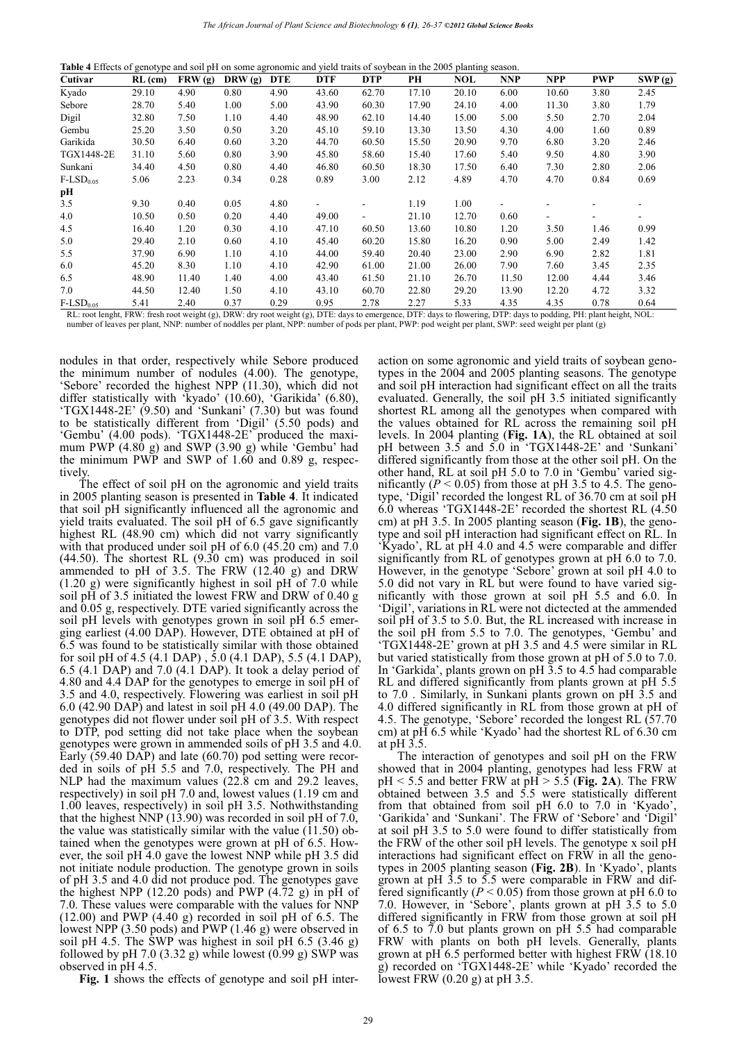| Table 4 Effects of genotype and soil pH on some agronomic and yield traits of soybean in the 2005 planting season. |  |
|--------------------------------------------------------------------------------------------------------------------|--|
|--------------------------------------------------------------------------------------------------------------------|--|

| Cutivar               | $RL$ (cm) | FRW (g) | DRW (g) | <b>DTE</b> | <b>DTF</b> | <b>DTP</b> | PH    | NOL   | <b>NNP</b> | <b>NPP</b> | <b>PWP</b> | SWP(g) |
|-----------------------|-----------|---------|---------|------------|------------|------------|-------|-------|------------|------------|------------|--------|
| Kyado                 | 29.10     | 4.90    | 0.80    | 4.90       | 43.60      | 62.70      | 17.10 | 20.10 | 6.00       | 10.60      | 3.80       | 2.45   |
| Sebore                | 28.70     | 5.40    | 1.00    | 5.00       | 43.90      | 60.30      | 17.90 | 24.10 | 4.00       | 11.30      | 3.80       | 1.79   |
| <b>Digil</b>          | 32.80     | 7.50    | 1.10    | 4.40       | 48.90      | 62.10      | 14.40 | 15.00 | 5.00       | 5.50       | 2.70       | 2.04   |
| Gembu                 | 25.20     | 3.50    | 0.50    | 3.20       | 45.10      | 59.10      | 13.30 | 13.50 | 4.30       | 4.00       | 1.60       | 0.89   |
| Garikida              | 30.50     | 6.40    | 0.60    | 3.20       | 44.70      | 60.50      | 15.50 | 20.90 | 9.70       | 6.80       | 3.20       | 2.46   |
| TGX1448-2E            | 31.10     | 5.60    | 0.80    | 3.90       | 45.80      | 58.60      | 15.40 | 17.60 | 5.40       | 9.50       | 4.80       | 3.90   |
| Sunkani               | 34.40     | 4.50    | 0.80    | 4.40       | 46.80      | 60.50      | 18.30 | 17.50 | 6.40       | 7.30       | 2.80       | 2.06   |
| $F-LSD0.05$           | 5.06      | 2.23    | 0.34    | 0.28       | 0.89       | 3.00       | 2.12  | 4.89  | 4.70       | 4.70       | 0.84       | 0.69   |
| pН                    |           |         |         |            |            |            |       |       |            |            |            |        |
| 3.5                   | 9.30      | 0.40    | 0.05    | 4.80       |            |            | 1.19  | 1.00  |            |            |            |        |
| 4.0                   | 10.50     | 0.50    | 0.20    | 4.40       | 49.00      |            | 21.10 | 12.70 | 0.60       |            |            |        |
| 4.5                   | 16.40     | 1.20    | 0.30    | 4.10       | 47.10      | 60.50      | 13.60 | 10.80 | 1.20       | 3.50       | 1.46       | 0.99   |
| 5.0                   | 29.40     | 2.10    | 0.60    | 4.10       | 45.40      | 60.20      | 15.80 | 16.20 | 0.90       | 5.00       | 2.49       | 1.42   |
| 5.5                   | 37.90     | 6.90    | 1.10    | 4.10       | 44.00      | 59.40      | 20.40 | 23.00 | 2.90       | 6.90       | 2.82       | 1.81   |
| 6.0                   | 45.20     | 8.30    | 1.10    | 4.10       | 42.90      | 61.00      | 21.00 | 26.00 | 7.90       | 7.60       | 3.45       | 2.35   |
| 6.5                   | 48.90     | 11.40   | 1.40    | 4.00       | 43.40      | 61.50      | 21.10 | 26.70 | 11.50      | 12.00      | 4.44       | 3.46   |
| 7.0                   | 44.50     | 12.40   | 1.50    | 4.10       | 43.10      | 60.70      | 22.80 | 29.20 | 13.90      | 12.20      | 4.72       | 3.32   |
| $\text{F-LSD}_{0.05}$ | 5.41      | 2.40    | 0.37    | 0.29       | 0.95       | 2.78       | 2.27  | 5.33  | 4.35       | 4.35       | 0.78       | 0.64   |

RL: root lenght, FRW: fresh root weight (g), DRW: dry root weight (g), DTE: days to emergence, DTF: days to flowering, DTP: days to podding, PH: plant height, NOL: number of leaves per plant, NNP: number of noddles per plant, NPP: number of pods per plant, PWP: pod weight per plant, SWP: seed weight per plant (g)

nodules in that order, respectively while Sebore produced the minimum number of nodules (4.00). The genotype, 'Sebore' recorded the highest NPP (11.30), which did not differ statistically with 'kyado' (10.60), 'Garikida' (6.80), 'TGX1448-2E' (9.50) and 'Sunkani' (7.30) but was found to be statistically different from 'Digil' (5.50 pods) and 'Gembu' (4.00 pods). 'TGX1448-2E' produced the maximum PWP  $(4.80 \text{ g})$  and SWP  $(3.90 \text{ g})$  while 'Gembu' had the minimum PWP and SWP of 1.60 and 0.89 g, respectively.

The effect of soil pH on the agronomic and yield traits in 2005 planting season is presented in **Table 4**. It indicated that soil pH significantly influenced all the agronomic and yield traits evaluated. The soil pH of 6.5 gave significantly highest RL (48.90 cm) which did not varry significantly with that produced under soil pH of 6.0 (45.20 cm) and 7.0  $(44.50)$ . The shortest RL  $(9.30 \text{ cm})$  was produced in soil ammended to pH of 3.5. The FRW (12.40 g) and DRW (1.20 g) were significantly highest in soil pH of 7.0 while soil pH of 3.5 initiated the lowest FRW and DRW of 0.40 g and 0.05 g, respectively. DTE varied significantly across the soil pH levels with genotypes grown in soil pH 6.5 emerging earliest (4.00 DAP). However, DTE obtained at pH of 6.5 was found to be statistically similar with those obtained for soil pH of 4.5 (4.1 DAP) , 5.0 (4.1 DAP), 5.5 (4.1 DAP), 6.5 (4.1 DAP) and 7.0 (4.1 DAP). It took a delay period of 4.80 and 4.4 DAP for the genotypes to emerge in soil pH of 3.5 and 4.0, respectively. Flowering was earliest in soil pH 6.0 (42.90 DAP) and latest in soil pH 4.0 (49.00 DAP). The genotypes did not flower under soil pH of 3.5. With respect to DTP, pod setting did not take place when the soybean genotypes were grown in ammended soils of pH 3.5 and 4.0. Early (59.40 DAP) and late (60.70) pod setting were recorded in soils of pH 5.5 and 7.0, respectively. The PH and NLP had the maximum values (22.8 cm and 29.2 leaves, respectively) in soil pH 7.0 and, lowest values (1.19 cm and 1.00 leaves, respectively) in soil pH 3.5. Nothwithstanding that the highest NNP (13.90) was recorded in soil pH of 7.0, the value was statistically similar with the value  $(11.50)$  obtained when the genotypes were grown at pH of 6.5. However, the soil pH 4.0 gave the lowest NNP while pH 3.5 did not initiate nodule production. The genotype grown in soils of pH 3.5 and 4.0 did not produce pod. The genotypes gave the highest NPP (12.20 pods) and PWP  $(4.72 \text{ g})$  in pH of 7.0. These values were comparable with the values for NNP  $(12.00)$  and PWP  $(4.40 \text{ g})$  recorded in soil pH of 6.5. The lowest NPP (3.50 pods) and PWP (1.46 g) were observed in soil pH 4.5. The SWP was highest in soil pH 6.5 (3.46 g) followed by pH 7.0 (3.32 g) while lowest  $(0.99 \text{ g})$  SWP was observed in pH 4.5.

**Fig. 1** shows the effects of genotype and soil pH inter-

action on some agronomic and yield traits of soybean genotypes in the 2004 and 2005 planting seasons. The genotype and soil pH interaction had significant effect on all the traits evaluated. Generally, the soil pH 3.5 initiated significantly shortest RL among all the genotypes when compared with the values obtained for RL across the remaining soil pH levels. In 2004 planting (**Fig. 1A**), the RL obtained at soil pH between 3.5 and 5.0 in 'TGX1448-2E' and 'Sunkani' differed significantly from those at the other soil pH. On the other hand, RL at soil pH 5.0 to 7.0 in 'Gembu' varied significantly  $(P < 0.05)$  from those at pH 3.5 to 4.5. The genotype, 'Digil' recorded the longest RL of 36.70 cm at soil pH 6.0 whereas 'TGX1448-2E' recorded the shortest RL (4.50 cm) at pH 3.5. In 2005 planting season (**Fig. 1B**), the genotype and soil pH interaction had significant effect on RL. In 'Kyado', RL at pH 4.0 and 4.5 were comparable and differ significantly from RL of genotypes grown at pH 6.0 to 7.0. However, in the genotype 'Sebore' grown at soil pH 4.0 to 5.0 did not vary in RL but were found to have varied significantly with those grown at soil pH 5.5 and 6.0. In 'Digil', variations in RL were not dictected at the ammended soil pH of 3.5 to 5.0. But, the RL increased with increase in the soil pH from 5.5 to 7.0. The genotypes, 'Gembu' and 'TGX1448-2E' grown at pH 3.5 and 4.5 were similar in RL but varied statistically from those grown at pH of 5.0 to 7.0. In 'Garkida', plants grown on pH 3.5 to 4.5 had comparable RL and differed significantly from plants grown at pH 5.5 to 7.0 . Similarly, in Sunkani plants grown on pH 3.5 and 4.0 differed significantly in RL from those grown at pH of 4.5. The genotype, 'Sebore' recorded the longest RL (57.70 cm) at pH 6.5 while 'Kyado' had the shortest RL of 6.30 cm at pH 3.5.

The interaction of genotypes and soil pH on the FRW showed that in 2004 planting, genotypes had less FRW at  $pH < 5.5$  and better FRW at  $pH > 5.5$  (Fig. 2A). The FRW obtained between 3.5 and 5.5 were statistically different from that obtained from soil pH 6.0 to 7.0 in 'Kyado', 'Garikida' and 'Sunkani'. The FRW of 'Sebore' and 'Digil' at soil pH 3.5 to 5.0 were found to differ statistically from the FRW of the other soil pH levels. The genotype x soil pH interactions had significant effect on FRW in all the genotypes in 2005 planting season (**Fig. 2B**). In 'Kyado', plants grown at pH 3.5 to 5.5 were comparable in FRW and differed significantly ( $P < 0.05$ ) from those grown at pH 6.0 to 7.0. However, in 'Sebore', plants grown at pH 3.5 to 5.0 differed significantly in FRW from those grown at soil pH of 6.5 to 7.0 but plants grown on pH 5.5 had comparable FRW with plants on both pH levels. Generally, plants grown at pH 6.5 performed better with highest FRW (18.10 g) recorded on 'TGX1448-2E' while 'Kyado' recorded the lowest FRW  $(0.20 \text{ g})$  at pH 3.5.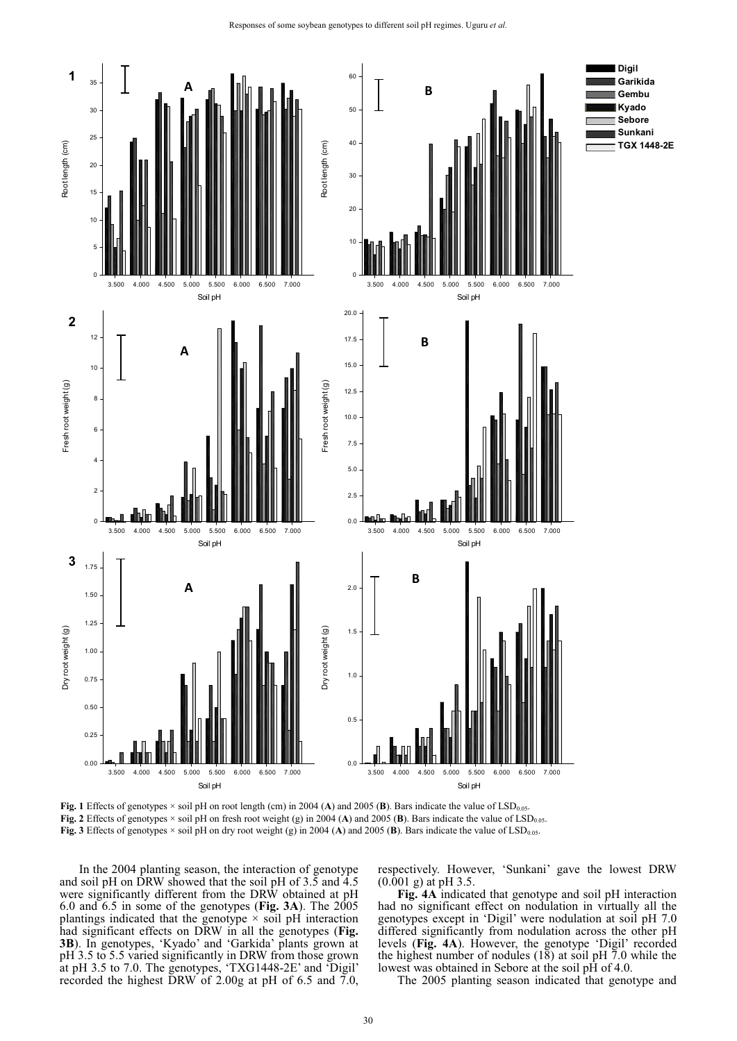

**Fig. 1** Effects of genotypes  $\times$  soil pH on root length (cm) in 2004 (**A**) and 2005 (**B**). Bars indicate the value of LSD<sub>0.05</sub>. **Fig. 2** Effects of genotypes  $\times$  soil pH on fresh root weight (g) in 2004 (A) and 2005 (B). Bars indicate the value of LSD<sub>0.05</sub>. **Fig. 3** Effects of genotypes  $\times$  soil pH on dry root weight (g) in 2004 (A) and 2005 (B). Bars indicate the value of LSD<sub>0.05</sub>.

In the 2004 planting season, the interaction of genotype and soil pH on DRW showed that the soil pH of 3.5 and 4.5 were significantly different from the DRW obtained at pH 6.0 and 6.5 in some of the genotypes (**Fig. 3A**). The 2005 plantings indicated that the genotype  $\times$  soil pH interaction had significant effects on DRW in all the genotypes (**Fig. 3B**). In genotypes, 'Kyado' and 'Garkida' plants grown at pH 3.5 to 5.5 varied significantly in DRW from those grown at pH 3.5 to 7.0. The genotypes, 'TXG1448-2E' and 'Digil' recorded the highest DRW of 2.00g at pH of 6.5 and 7.0, respectively. However, 'Sunkani' gave the lowest DRW  $(0.001 \text{ g})$  at pH 3.5.

**Fig. 4A** indicated that genotype and soil pH interaction had no significant effect on nodulation in virtually all the genotypes except in 'Digil' were nodulation at soil pH 7.0 differed significantly from nodulation across the other pH levels (**Fig. 4A**). However, the genotype 'Digil' recorded the highest number of nodules (18) at soil pH 7.0 while the lowest was obtained in Sebore at the soil pH of 4.0.

The 2005 planting season indicated that genotype and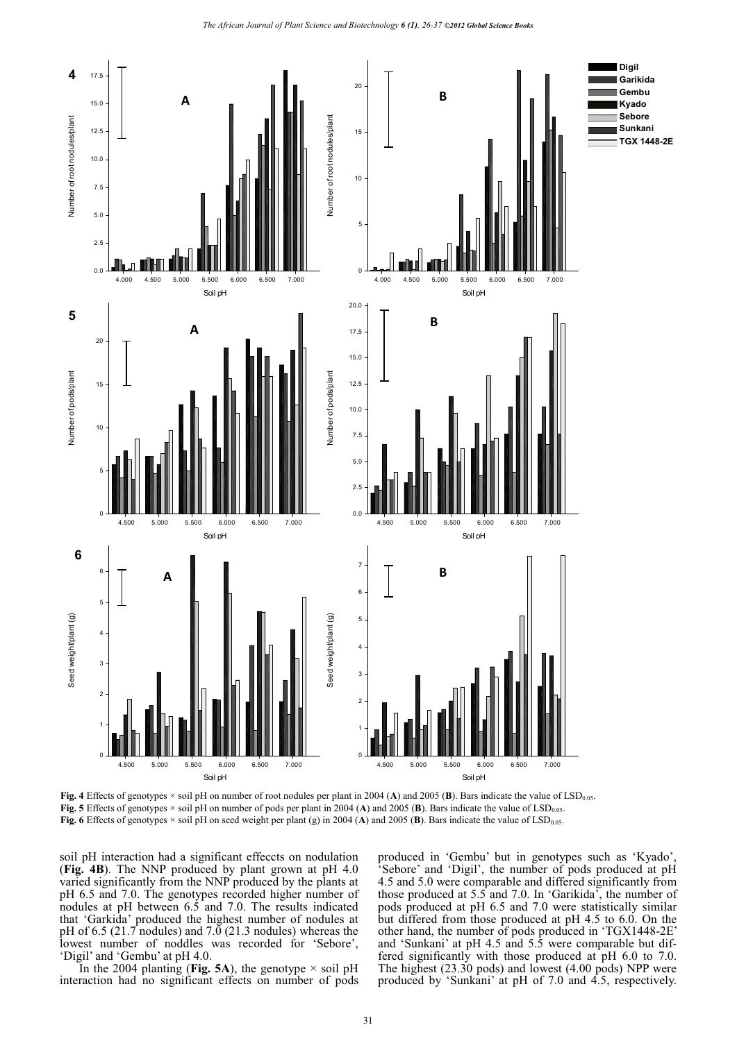

**Fig. 4** Effects of genotypes × soil pH on number of root nodules per plant in 2004 (A) and 2005 (B). Bars indicate the value of LSD<sub>0.05</sub>. **Fig. 5** Effects of genotypes  $\times$  soil pH on number of pods per plant in 2004 (A) and 2005 (B). Bars indicate the value of LSD<sub>0.05</sub>. **Fig. 6** Effects of genotypes  $\times$  soil pH on seed weight per plant (g) in 2004 (A) and 2005 (B). Bars indicate the value of LSD<sub>0.05</sub>.

soil pH interaction had a significant effeccts on nodulation (**Fig. 4B**). The NNP produced by plant grown at pH 4.0 varied significantly from the NNP produced by the plants at pH 6.5 and 7.0. The genotypes recorded higher number of nodules at pH between 6.5 and 7.0. The results indicated that 'Garkida' produced the highest number of nodules at pH of 6.5 (21.7 nodules) and 7.0 (21.3 nodules) whereas the lowest number of noddles was recorded for 'Sebore', 'Digil' and 'Gembu' at pH 4.0.

In the 2004 planting (Fig. 5A), the genotype  $\times$  soil pH interaction had no significant effects on number of pods produced in 'Gembu' but in genotypes such as 'Kyado', 'Sebore' and 'Digil', the number of pods produced at pH 4.5 and 5.0 were comparable and differed significantly from those produced at 5.5 and 7.0. In 'Garikida', the number of pods produced at pH 6.5 and 7.0 were statistically similar but differed from those produced at pH 4.5 to 6.0. On the other hand, the number of pods produced in 'TGX1448-2E' and 'Sunkani' at pH 4.5 and 5.5 were comparable but differed significantly with those produced at pH 6.0 to 7.0. The highest (23.30 pods) and lowest (4.00 pods) NPP were produced by 'Sunkani' at pH of 7.0 and 4.5, respectively.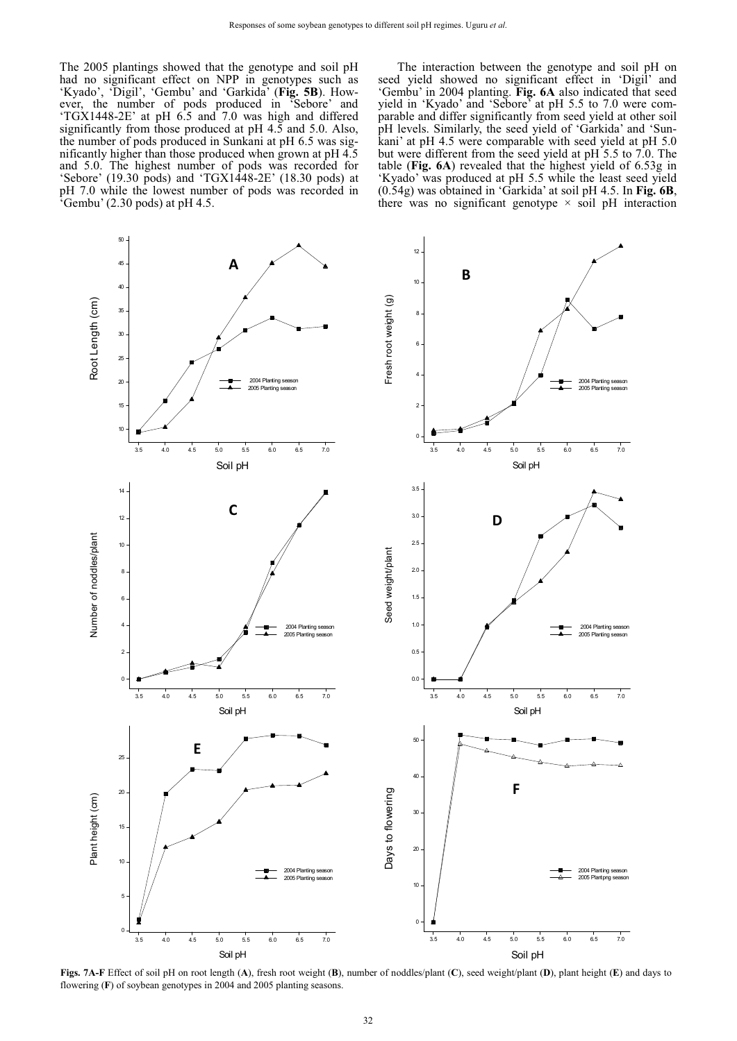The 2005 plantings showed that the genotype and soil pH had no significant effect on NPP in genotypes such as 'Kyado', 'Digil', 'Gembu' and 'Garkida' (**Fig. 5B**). However, the number of pods produced in 'Sebore' and 'TGX1448-2E' at pH 6.5 and 7.0 was high and differed significantly from those produced at pH 4.5 and 5.0. Also, the number of pods produced in Sunkani at pH 6.5 was significantly higher than those produced when grown at pH 4.5 and 5.0. The highest number of pods was recorded for 'Sebore' (19.30 pods) and 'TGX1448-2E' (18.30 pods) at pH 7.0 while the lowest number of pods was recorded in  $\sqrt[3]{2}$  Gembu' (2.30 pods) at pH 4.5.

The interaction between the genotype and soil pH on seed yield showed no significant effect in 'Digil' and 'Gembu' in 2004 planting. **Fig. 6A** also indicated that seed yield in 'Kyado' and 'Sebore' at pH 5.5 to 7.0 were comparable and differ significantly from seed yield at other soil pH levels. Similarly, the seed yield of 'Garkida' and 'Sunkani' at pH 4.5 were comparable with seed yield at pH 5.0 but were different from the seed yield at pH 5.5 to 7.0. The table (**Fig. 6A**) revealed that the highest yield of 6.53g in 'Kyado' was produced at pH 5.5 while the least seed yield (0.54g) was obtained in 'Garkida' at soil pH 4.5. In **Fig. 6B**, there was no significant genotype  $\times$  soil pH interaction



**Figs. 7A-F** Effect of soil pH on root length (**A**), fresh root weight (**B**), number of noddles/plant (**C**), seed weight/plant (**D**), plant height (**E**) and days to flowering (**F**) of soybean genotypes in 2004 and 2005 planting seasons.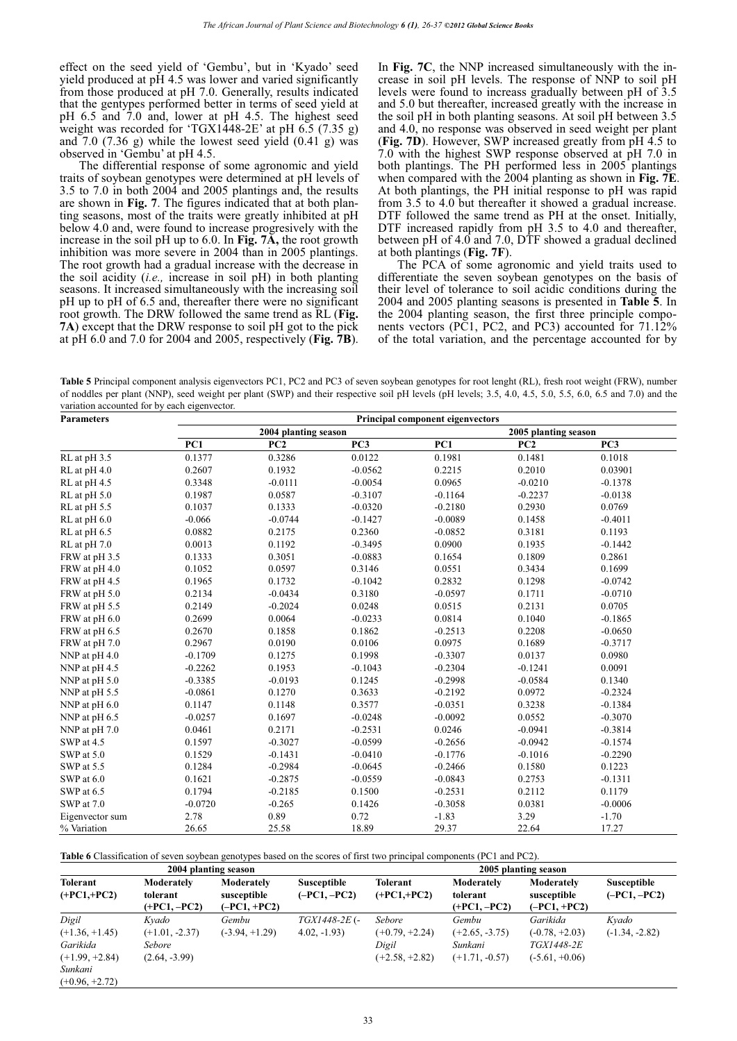effect on the seed yield of 'Gembu', but in 'Kyado' seed yield produced at pH 4.5 was lower and varied significantly from those produced at pH 7.0. Generally, results indicated that the gentypes performed better in terms of seed yield at pH 6.5 and 7.0 and, lower at pH 4.5. The highest seed weight was recorded for 'TGX1448-2E' at pH 6.5 (7.35 g) and  $7.0$   $(7.36 \text{ g})$  while the lowest seed yield  $(0.41 \text{ g})$  was observed in 'Gembu' at pH 4.5.

The differential response of some agronomic and yield traits of soybean genotypes were determined at pH levels of 3.5 to 7.0 in both 2004 and 2005 plantings and, the results are shown in **Fig. 7**. The figures indicated that at both planting seasons, most of the traits were greatly inhibited at pH below 4.0 and, were found to increase progresively with the increase in the soil pH up to 6.0. In **Fig. 7A,** the root growth inhibition was more severe in 2004 than in 2005 plantings. The root growth had a gradual increase with the decrease in the soil acidity (*i.e.,* increase in soil pH) in both planting seasons. It increased simultaneously with the increasing soil pH up to pH of 6.5 and, thereafter there were no significant root growth. The DRW followed the same trend as RL (**Fig. 7A**) except that the DRW response to soil pH got to the pick at pH 6.0 and 7.0 for 2004 and 2005, respectively (**Fig. 7B**).

In **Fig. 7C**, the NNP increased simultaneously with the increase in soil pH levels. The response of NNP to soil pH levels were found to increass gradually between pH of 3.5 and 5.0 but thereafter, increased greatly with the increase in the soil pH in both planting seasons. At soil pH between 3.5 and 4.0, no response was observed in seed weight per plant (**Fig. 7D**). However, SWP increased greatly from pH 4.5 to 7.0 with the highest SWP response observed at pH 7.0 in both plantings. The PH performed less in 2005 plantings when compared with the 2004 planting as shown in **Fig. 7E**. At both plantings, the PH initial response to pH was rapid from 3.5 to 4.0 but thereafter it showed a gradual increase. DTF followed the same trend as PH at the onset. Initially, DTF increased rapidly from pH 3.5 to 4.0 and thereafter, between pH of 4.0 and 7.0, DTF showed a gradual declined at both plantings (**Fig. 7F**).

The PCA of some agronomic and yield traits used to differentiate the seven soybean genotypes on the basis of their level of tolerance to soil acidic conditions during the 2004 and 2005 planting seasons is presented in **Table 5**. In the 2004 planting season, the first three principle components vectors (PC1, PC2, and PC3) accounted for 71.12% of the total variation, and the percentage accounted for by

**Table 5** Principal component analysis eigenvectors PC1, PC2 and PC3 of seven soybean genotypes for root lenght (RL), fresh root weight (FRW), number of noddles per plant (NNP), seed weight per plant (SWP) and their respective soil pH levels (pH levels; 3.5, 4.0, 4.5, 5.0, 5.5, 6.0, 6.5 and 7.0) and the variation accounted for by each eigenvector.

| <b>Parameters</b> |           | <b>Principal component eigenvectors</b> |                 |           |                      |                 |  |  |  |  |  |
|-------------------|-----------|-----------------------------------------|-----------------|-----------|----------------------|-----------------|--|--|--|--|--|
|                   |           | 2004 planting season                    |                 |           | 2005 planting season |                 |  |  |  |  |  |
|                   | PC1       | PC2                                     | PC <sub>3</sub> | PC1       | PC2                  | PC <sub>3</sub> |  |  |  |  |  |
| RL at pH 3.5      | 0.1377    | 0.3286                                  | 0.0122          | 0.1981    | 0.1481               | 0.1018          |  |  |  |  |  |
| RL at pH 4.0      | 0.2607    | 0.1932                                  | $-0.0562$       | 0.2215    | 0.2010               | 0.03901         |  |  |  |  |  |
| RL at pH 4.5      | 0.3348    | $-0.0111$                               | $-0.0054$       | 0.0965    | $-0.0210$            | $-0.1378$       |  |  |  |  |  |
| RL at pH 5.0      | 0.1987    | 0.0587                                  | $-0.3107$       | $-0.1164$ | $-0.2237$            | $-0.0138$       |  |  |  |  |  |
| RL at pH 5.5      | 0.1037    | 0.1333                                  | $-0.0320$       | $-0.2180$ | 0.2930               | 0.0769          |  |  |  |  |  |
| RL at pH 6.0      | $-0.066$  | $-0.0744$                               | $-0.1427$       | $-0.0089$ | 0.1458               | $-0.4011$       |  |  |  |  |  |
| RL at pH 6.5      | 0.0882    | 0.2175                                  | 0.2360          | $-0.0852$ | 0.3181               | 0.1193          |  |  |  |  |  |
| RL at pH 7.0      | 0.0013    | 0.1192                                  | $-0.3495$       | 0.0900    | 0.1935               | $-0.1442$       |  |  |  |  |  |
| FRW at pH 3.5     | 0.1333    | 0.3051                                  | $-0.0883$       | 0.1654    | 0.1809               | 0.2861          |  |  |  |  |  |
| FRW at pH 4.0     | 0.1052    | 0.0597                                  | 0.3146          | 0.0551    | 0.3434               | 0.1699          |  |  |  |  |  |
| FRW at pH 4.5     | 0.1965    | 0.1732                                  | $-0.1042$       | 0.2832    | 0.1298               | $-0.0742$       |  |  |  |  |  |
| FRW at pH 5.0     | 0.2134    | $-0.0434$                               | 0.3180          | $-0.0597$ | 0.1711               | $-0.0710$       |  |  |  |  |  |
| FRW at pH 5.5     | 0.2149    | $-0.2024$                               | 0.0248          | 0.0515    | 0.2131               | 0.0705          |  |  |  |  |  |
| FRW at pH 6.0     | 0.2699    | 0.0064                                  | $-0.0233$       | 0.0814    | 0.1040               | $-0.1865$       |  |  |  |  |  |
| FRW at pH 6.5     | 0.2670    | 0.1858                                  | 0.1862          | $-0.2513$ | 0.2208               | $-0.0650$       |  |  |  |  |  |
| FRW at pH 7.0     | 0.2967    | 0.0190                                  | 0.0106          | 0.0975    | 0.1689               | $-0.3717$       |  |  |  |  |  |
| NNP at pH 4.0     | $-0.1709$ | 0.1275                                  | 0.1998          | $-0.3307$ | 0.0137               | 0.0980          |  |  |  |  |  |
| NNP at pH 4.5     | $-0.2262$ | 0.1953                                  | $-0.1043$       | $-0.2304$ | $-0.1241$            | 0.0091          |  |  |  |  |  |
| NNP at pH 5.0     | $-0.3385$ | $-0.0193$                               | 0.1245          | $-0.2998$ | $-0.0584$            | 0.1340          |  |  |  |  |  |
| NNP at pH 5.5     | $-0.0861$ | 0.1270                                  | 0.3633          | $-0.2192$ | 0.0972               | $-0.2324$       |  |  |  |  |  |
| NNP at pH 6.0     | 0.1147    | 0.1148                                  | 0.3577          | $-0.0351$ | 0.3238               | $-0.1384$       |  |  |  |  |  |
| NNP at pH 6.5     | $-0.0257$ | 0.1697                                  | $-0.0248$       | $-0.0092$ | 0.0552               | $-0.3070$       |  |  |  |  |  |
| NNP at pH 7.0     | 0.0461    | 0.2171                                  | $-0.2531$       | 0.0246    | $-0.0941$            | $-0.3814$       |  |  |  |  |  |
| SWP at 4.5        | 0.1597    | $-0.3027$                               | $-0.0599$       | $-0.2656$ | $-0.0942$            | $-0.1574$       |  |  |  |  |  |
| SWP at 5.0        | 0.1529    | $-0.1431$                               | $-0.0410$       | $-0.1776$ | $-0.1016$            | $-0.2290$       |  |  |  |  |  |
| SWP at 5.5        | 0.1284    | $-0.2984$                               | $-0.0645$       | $-0.2466$ | 0.1580               | 0.1223          |  |  |  |  |  |
| SWP at 6.0        | 0.1621    | $-0.2875$                               | $-0.0559$       | $-0.0843$ | 0.2753               | $-0.1311$       |  |  |  |  |  |
| SWP at 6.5        | 0.1794    | $-0.2185$                               | 0.1500          | $-0.2531$ | 0.2112               | 0.1179          |  |  |  |  |  |
| SWP at 7.0        | $-0.0720$ | $-0.265$                                | 0.1426          | $-0.3058$ | 0.0381               | $-0.0006$       |  |  |  |  |  |
| Eigenvector sum   | 2.78      | 0.89                                    | 0.72            | $-1.83$   | 3.29                 | $-1.70$         |  |  |  |  |  |
| % Variation       | 26.65     | 25.58                                   | 18.89           | 29.37     | 22.64                | 17.27           |  |  |  |  |  |

**Table 6** Classification of seven soybean genotypes based on the scores of first two principal components (PC1 and PC2).

|                                  |                                          | 2004 planting season                        |                                      | 2005 planting season      |                                          |                                             |                                      |  |  |
|----------------------------------|------------------------------------------|---------------------------------------------|--------------------------------------|---------------------------|------------------------------------------|---------------------------------------------|--------------------------------------|--|--|
| <b>Tolerant</b><br>$(+PC1,+PC2)$ | Moderately<br>tolerant<br>$(+PC1, -PC2)$ | Moderately<br>susceptible<br>$(-PC1, +PC2)$ | <b>Susceptible</b><br>$(-PC1, -PC2)$ | Tolerant<br>$(+PC1,+PC2)$ | Moderately<br>tolerant<br>$(+PC1, -PC2)$ | Moderately<br>susceptible<br>$(-PC1, +PC2)$ | <b>Susceptible</b><br>$(-PC1, -PC2)$ |  |  |
| Digil                            | Kvado                                    | Gembu                                       | TGX1448-2E (-                        | Sebore                    | Gembu                                    | Garikida                                    | Kvado                                |  |  |
| $(+1.36,+1.45)$                  | $(+1.01, -2.37)$                         | $(-3.94, +1.29)$                            | $4.02, -1.93$                        | $(+0.79, +2.24)$          | $(+2.65, -3.75)$                         | $(-0.78, +2.03)$                            | $(-1.34, -2.82)$                     |  |  |
| Garikida                         | Sebore                                   |                                             |                                      | Digil                     | Sunkani                                  | <i>TGX1448-2E</i>                           |                                      |  |  |
| $(+1.99, +2.84)$                 | $(2.64, -3.99)$                          |                                             |                                      | $(+2.58, +2.82)$          | $(+1.71, -0.57)$                         | $(-5.61, +0.06)$                            |                                      |  |  |
| Sunkani                          |                                          |                                             |                                      |                           |                                          |                                             |                                      |  |  |
| $(+0.96, +2.72)$                 |                                          |                                             |                                      |                           |                                          |                                             |                                      |  |  |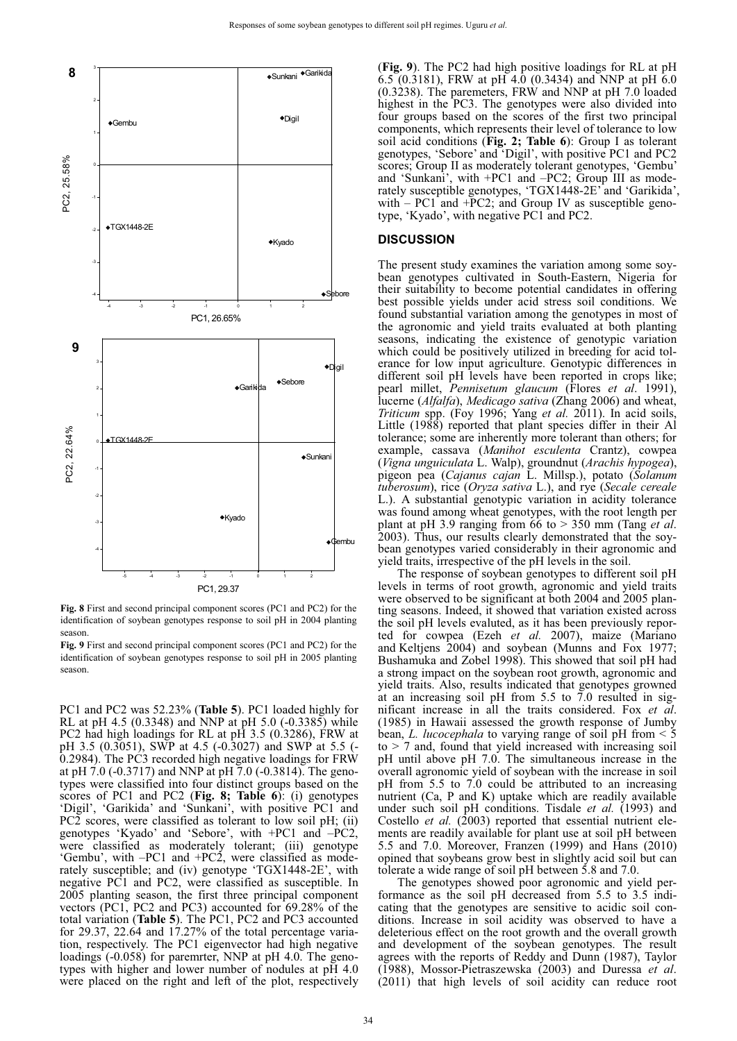

**Fig. 8** First and second principal component scores (PC1 and PC2) for the identification of soybean genotypes response to soil pH in 2004 planting season.

**Fig. 9** First and second principal component scores (PC1 and PC2) for the identification of soybean genotypes response to soil pH in 2005 planting season.

PC1 and PC2 was 52.23% (**Table 5**). PC1 loaded highly for RL at pH 4.5 (0.3348) and NNP at pH 5.0 (-0.3385) while PC2 had high loadings for RL at pH 3.5 (0.3286), FRW at pH 3.5 (0.3051), SWP at 4.5 (-0.3027) and SWP at 5.5 (- 0.2984). The PC3 recorded high negative loadings for FRW at pH 7.0 (-0.3717) and NNP at pH 7.0 (-0.3814). The genotypes were classified into four distinct groups based on the scores of PC1 and PC2 (**Fig. 8; Table 6**): (i) genotypes 'Digil', 'Garikida' and 'Sunkani', with positive PC1 and PC2 scores, were classified as tolerant to low soil pH; (ii) genotypes 'Kyado' and 'Sebore', with +PC1 and –PC2, were classified as moderately tolerant; (iii) genotype 'Gembu', with –PC1 and +PC2, were classified as moderately susceptible; and (iv) genotype 'TGX1448-2E', with negative PC1 and PC2, were classified as susceptible. In 2005 planting season, the first three principal component vectors (PC1, PC2 and PC3) accounted for 69.28% of the total variation (**Table 5**). The PC1, PC2 and PC3 accounted for 29.37, 22.64 and 17.27% of the total percentage variation, respectively. The PC1 eigenvector had high negative loadings (-0.058) for paremrter, NNP at pH 4.0. The genotypes with higher and lower number of nodules at pH 4.0 were placed on the right and left of the plot, respectively

(**Fig. 9**). The PC2 had high positive loadings for RL at pH  $6.5$  (0.3181), FRW at pH 4.0 (0.3434) and NNP at pH 6.0 (0.3238). The paremeters, FRW and NNP at pH 7.0 loaded highest in the PC3. The genotypes were also divided into four groups based on the scores of the first two principal components, which represents their level of tolerance to low soil acid conditions (**Fig. 2; Table 6**): Group I as tolerant genotypes, 'Sebore' and 'Digil', with positive PC1 and PC2 scores; Group II as moderately tolerant genotypes, 'Gembu' and 'Sunkani', with +PC1 and –PC2; Group III as moderately susceptible genotypes, 'TGX1448-2E' and 'Garikida', with  $-$  PC1 and  $+$ PC2; and Group IV as susceptible genotype, 'Kyado', with negative PC1 and PC2.

#### **DISCUSSION**

The present study examines the variation among some soybean genotypes cultivated in South-Eastern, Nigeria for their suitability to become potential candidates in offering best possible yields under acid stress soil conditions. We found substantial variation among the genotypes in most of the agronomic and yield traits evaluated at both planting seasons, indicating the existence of genotypic variation which could be positively utilized in breeding for acid tolerance for low input agriculture. Genotypic differences in different soil pH levels have been reported in crops like; pearl millet, *Pennisetum glaucum* (Flores *et al*. 1991), lucerne (*Alfalfa*), *Medicago sativa* (Zhang 2006) and wheat, *Triticum* spp. (Foy 1996; Yang *et al.* 2011). In acid soils, Little (1988) reported that plant species differ in their Al tolerance; some are inherently more tolerant than others; for example, cassava (*Manihot esculenta* Crantz), cowpea (*Vigna unguiculata* L. Walp), groundnut (*Arachis hypogea*), pigeon pea (*Cajanus cajan* L. Millsp.), potato (*Solanum tuberosum*), rice (*Oryza sativa* L.), and rye (*Secale cereale*  L.). A substantial genotypic variation in acidity tolerance was found among wheat genotypes, with the root length per plant at pH 3.9 ranging from 66 to > 350 mm (Tang *et al*. 2003). Thus, our results clearly demonstrated that the soybean genotypes varied considerably in their agronomic and yield traits, irrespective of the pH levels in the soil.

The response of soybean genotypes to different soil pH levels in terms of root growth, agronomic and yield traits were observed to be significant at both 2004 and 2005 planting seasons. Indeed, it showed that variation existed across the soil pH levels evaluted, as it has been previously reported for cowpea (Ezeh *et al.* 2007), maize (Mariano and Keltjens 2004) and soybean (Munns and Fox 1977; Bushamuka and Zobel 1998). This showed that soil pH had a strong impact on the soybean root growth, agronomic and yield traits. Also, results indicated that genotypes growned at an increasing soil pH from 5.5 to 7.0 resulted in significant increase in all the traits considered. Fox *et al*. (1985) in Hawaii assessed the growth response of Jumby bean, *L. lucocephala* to varying range of soil pH from < 5  $to$  > 7 and, found that yield increased with increasing soil pH until above pH 7.0. The simultaneous increase in the overall agronomic yield of soybean with the increase in soil pH from 5.5 to 7.0 could be attributed to an increasing nutrient (Ca, P and K) uptake which are readily available under such soil pH conditions. Tisdale *et al.* (1993) and Costello *et al.* (2003) reported that essential nutrient elements are readily available for plant use at soil pH between 5.5 and 7.0. Moreover, Franzen (1999) and Hans (2010) opined that soybeans grow best in slightly acid soil but can tolerate a wide range of soil pH between 5.8 and 7.0.

The genotypes showed poor agronomic and yield performance as the soil pH decreased from 5.5 to 3.5 indicating that the genotypes are sensitive to acidic soil conditions. Increase in soil acidity was observed to have a deleterious effect on the root growth and the overall growth and development of the soybean genotypes. The result agrees with the reports of Reddy and Dunn (1987), Taylor (1988), Mossor-Pietraszewska (2003) and Duressa *et al*. (2011) that high levels of soil acidity can reduce root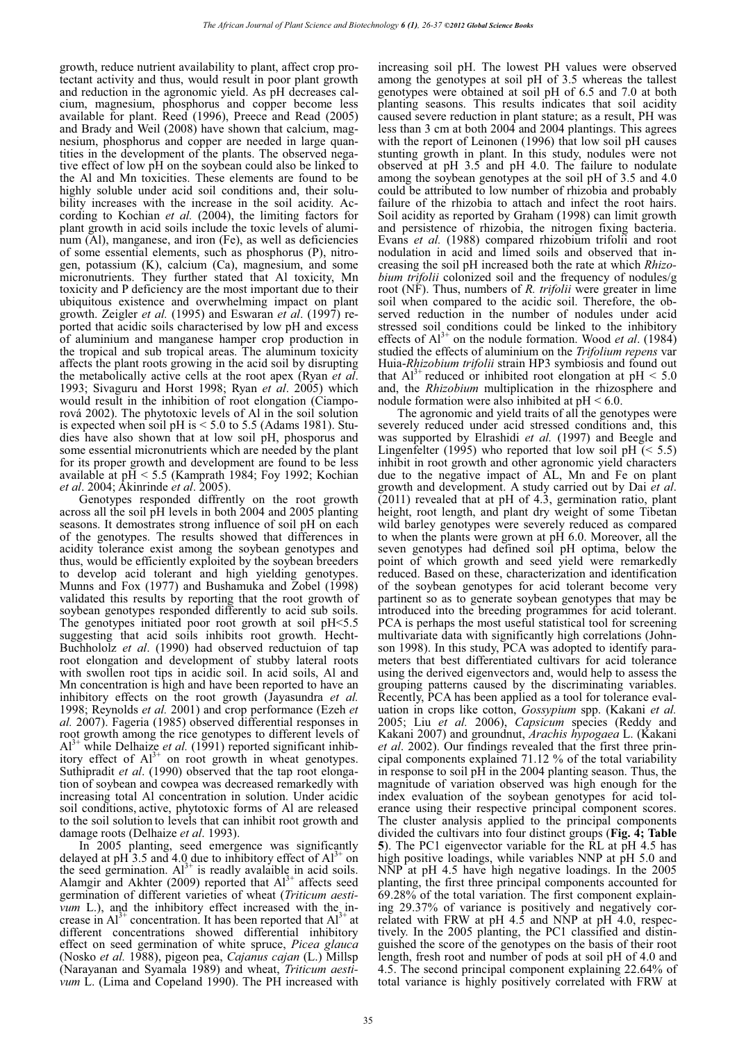growth, reduce nutrient availability to plant, affect crop protectant activity and thus, would result in poor plant growth and reduction in the agronomic yield. As pH decreases calcium, magnesium, phosphorus and copper become less available for plant. Reed (1996), Preece and Read (2005) and Brady and Weil (2008) have shown that calcium, magnesium, phosphorus and copper are needed in large quantities in the development of the plants. The observed negative effect of low pH on the soybean could also be linked to the Al and Mn toxicities. These elements are found to be highly soluble under acid soil conditions and, their solubility increases with the increase in the soil acidity. According to Kochian *et al.* (2004), the limiting factors for plant growth in acid soils include the toxic levels of aluminum (Al), manganese, and iron (Fe), as well as deficiencies of some essential elements, such as phosphorus (P), nitrogen, potassium (K), calcium (Ca), magnesium, and some micronutrients. They further stated that Al toxicity, Mn toxicity and P deficiency are the most important due to their ubiquitous existence and overwhelming impact on plant growth. Zeigler *et al.* (1995) and Eswaran *et al*. (1997) reported that acidic soils characterised by low pH and excess of aluminium and manganese hamper crop production in the tropical and sub tropical areas. The aluminum toxicity affects the plant roots growing in the acid soil by disrupting the metabolically active cells at the root apex (Ryan *et al*. 1993; Sivaguru and Horst 1998; Ryan *et al*. 2005) which would result in the inhibition of root elongation (Ciamporová 2002). The phytotoxic levels of Al in the soil solution is expected when soil pH is  $< 5.0$  to 5.5 (Adams 1981). Studies have also shown that at low soil pH, phosporus and some essential micronutrients which are needed by the plant for its proper growth and development are found to be less available at  $pH < 5.5$  (Kamprath 1984; Foy 1992; Kochian *et al*. 2004; Akinrinde *et al*. 2005).

Genotypes responded diffrently on the root growth across all the soil pH levels in both 2004 and 2005 planting seasons. It demostrates strong influence of soil pH on each of the genotypes. The results showed that differences in acidity tolerance exist among the soybean genotypes and thus, would be efficiently exploited by the soybean breeders to develop acid tolerant and high yielding genotypes. Munns and Fox (1977) and Bushamuka and Zobel (1998) validated this results by reporting that the root growth of soybean genotypes responded differently to acid sub soils. The genotypes initiated poor root growth at soil pH<5.5 suggesting that acid soils inhibits root growth. Hecht-Buchhololz *et al*. (1990) had observed reductuion of tap root elongation and development of stubby lateral roots with swollen root tips in acidic soil. In acid soils, Al and Mn concentration is high and have been reported to have an inhibitory effects on the root growth (Jayasundra *et al.* 1998; Reynolds *et al.* 2001) and crop performance (Ezeh *et al.* 2007). Fageria (1985) observed differential responses in root growth among the rice genotypes to different levels of Al<sup>3+</sup> while Delhaize *et al.* (1991) reported significant inhibitory effect of  $Al^{3+}$  on root growth in wheat genotypes. Suthipradit *et al*. (1990) observed that the tap root elongation of soybean and cowpea was decreased remarkedly with increasing total Al concentration in solution. Under acidic soil conditions, active, phytotoxic forms of Al are released to the soil solution to levels that can inhibit root growth and damage roots (Delhaize *et al*. 1993).

In 2005 planting, seed emergence was significantly delayed at pH 3.5 and 4.0 due to inhibitory effect of  $Al^{3+}$  on the seed germination.  $Al^{3+}$  is readly avalaible in acid soils. Alamgir and Akhter (2009) reported that  $Al^{3+}$  affects seed germination of different varieties of wheat (*Triticum aestivum* L.), and the inhibitory effect increased with the increase in  $Al^{3+}$  concentration. It has been reported that  $Al^{3+}$  at different concentrations showed differential inhibitory effect on seed germination of white spruce, *Picea glauca* (Nosko *et al.* 1988), pigeon pea, *Cajanus cajan* (L.) Millsp (Narayanan and Syamala 1989) and wheat, *Triticum aestivum* L. (Lima and Copeland 1990). The PH increased with

increasing soil pH. The lowest PH values were observed among the genotypes at soil pH of 3.5 whereas the tallest genotypes were obtained at soil pH of 6.5 and 7.0 at both planting seasons. This results indicates that soil acidity caused severe reduction in plant stature; as a result, PH was less than 3 cm at both 2004 and 2004 plantings. This agrees with the report of Leinonen (1996) that low soil pH causes stunting growth in plant. In this study, nodules were not observed at pH 3.5 and pH 4.0. The failure to nodulate among the soybean genotypes at the soil pH of 3.5 and 4.0 could be attributed to low number of rhizobia and probably failure of the rhizobia to attach and infect the root hairs. Soil acidity as reported by Graham (1998) can limit growth and persistence of rhizobia, the nitrogen fixing bacteria. Evans *et al.* (1988) compared rhizobium trifolii and root nodulation in acid and limed soils and observed that increasing the soil pH increased both the rate at which *Rhizobium trifolii* colonized soil and the frequency of nodules/g root (NF). Thus, numbers of *R. trifolii* were greater in lime soil when compared to the acidic soil. Therefore, the observed reduction in the number of nodules under acid stressed soil conditions could be linked to the inhibitory effects of  $Al^{3+}$  on the nodule formation. Wood *et al.* (1984) studied the effects of aluminium on the *Trifolium repens* var Huia-*Rhizobium trifolii* strain HP3 symbiosis and found out that  $Al^{3+}$  reduced or inhibited root elongation at  $pH \le 5.0$ and, the *Rhizobium* multiplication in the rhizosphere and nodule formation were also inhibited at  $pH < 6.0$ .

The agronomic and yield traits of all the genotypes were severely reduced under acid stressed conditions and, this was supported by Elrashidi *et al.* (1997) and Beegle and Lingenfelter (1995) who reported that low soil pH  $(< 5.5)$ inhibit in root growth and other agronomic yield characters due to the negative impact of AL, Mn and Fe on plant growth and development. A study carried out by Dai *et al*. (2011) revealed that at pH of 4.3, germination ratio, plant height, root length, and plant dry weight of some Tibetan wild barley genotypes were severely reduced as compared to when the plants were grown at pH 6.0. Moreover, all the seven genotypes had defined soil pH optima, below the point of which growth and seed yield were remarkedly reduced. Based on these, characterization and identification of the soybean genotypes for acid tolerant become very partinent so as to generate soybean genotypes that may be introduced into the breeding programmes for acid tolerant. PCA is perhaps the most useful statistical tool for screening multivariate data with significantly high correlations (Johnson 1998). In this study, PCA was adopted to identify parameters that best differentiated cultivars for acid tolerance using the derived eigenvectors and, would help to assess the grouping patterns caused by the discriminating variables. Recently, PCA has been applied as a tool for tolerance evaluation in crops like cotton, *Gossypium* spp. (Kakani *et al.* 2005; Liu *et al.* 2006), *Capsicum* species (Reddy and Kakani 2007) and groundnut, *Arachis hypogaea* L. (Kakani *et al*. 2002). Our findings revealed that the first three principal components explained 71.12 % of the total variability in response to soil pH in the 2004 planting season. Thus, the magnitude of variation observed was high enough for the index evaluation of the soybean genotypes for acid tolerance using their respective principal component scores. The cluster analysis applied to the principal components divided the cultivars into four distinct groups (**Fig. 4; Table 5**). The PC1 eigenvector variable for the RL at pH 4.5 has high positive loadings, while variables NNP at pH 5.0 and NNP at pH 4.5 have high negative loadings. In the 2005 planting, the first three principal components accounted for 69.28% of the total variation. The first component explaining 29.37% of variance is positively and negatively correlated with FRW at pH 4.5 and NNP at pH 4.0, respectively. In the 2005 planting, the PC1 classified and distinguished the score of the genotypes on the basis of their root length, fresh root and number of pods at soil pH of 4.0 and 4.5. The second principal component explaining 22.64% of total variance is highly positively correlated with FRW at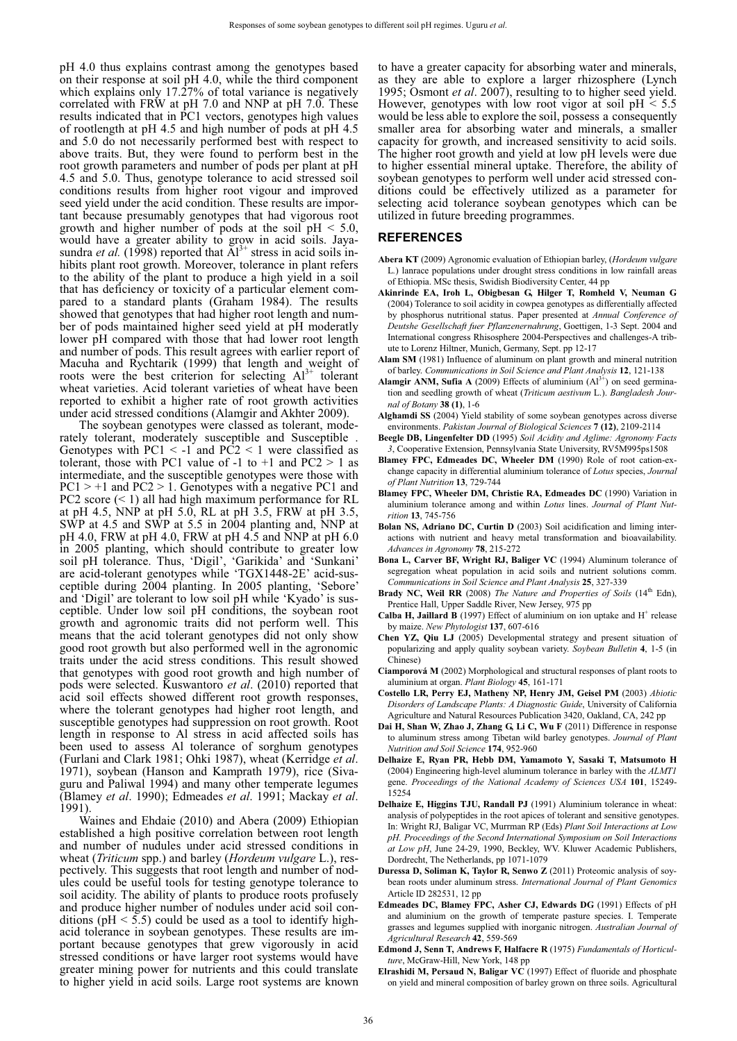pH 4.0 thus explains contrast among the genotypes based on their response at soil pH 4.0, while the third component which explains only  $17.27\%$  of total variance is negatively correlated with FRW at pH 7.0 and NNP at pH 7.0. These results indicated that in PC1 vectors, genotypes high values of rootlength at pH 4.5 and high number of pods at pH 4.5 and 5.0 do not necessarily performed best with respect to above traits. But, they were found to perform best in the root growth parameters and number of pods per plant at pH 4.5 and 5.0. Thus, genotype tolerance to acid stressed soil conditions results from higher root vigour and improved seed yield under the acid condition. These results are important because presumably genotypes that had vigorous root growth and higher number of pods at the soil  $pH < 5.0$ , would have a greater ability to grow in acid soils. Jayasundra *et al.* (1998) reported that  $\bar{A}^{3+}$  stress in acid soils inhibits plant root growth. Moreover, tolerance in plant refers to the ability of the plant to produce a high yield in a soil that has deficiency or toxicity of a particular element compared to a standard plants (Graham 1984). The results showed that genotypes that had higher root length and number of pods maintained higher seed yield at pH moderatly lower pH compared with those that had lower root length and number of pods. This result agrees with earlier report of Macuha and Rychtarik (1999) that length and weight of roots were the best criterion for selecting  $Al^{3+}$  tolerant wheat varieties. Acid tolerant varieties of wheat have been reported to exhibit a higher rate of root growth activities under acid stressed conditions (Alamgir and Akhter 2009).

The soybean genotypes were classed as tolerant, moderately tolerant, moderately susceptible and Susceptible . Genotypes with  $PC1 < -1$  and  $PC2 < 1$  were classified as tolerant, those with PC1 value of  $-1$  to  $+1$  and PC2  $> 1$  as intermediate, and the susceptible genotypes were those with  $PC1 > +1$  and  $PC2 > 1$ . Genotypes with a negative PC1 and PC2 score  $(< 1)$  all had high maximum performance for RL at pH 4.5, NNP at pH 5.0, RL at pH 3.5, FRW at pH 3.5, SWP at 4.5 and SWP at 5.5 in 2004 planting and, NNP at pH 4.0, FRW at pH 4.0, FRW at pH 4.5 and NNP at pH 6.0 in 2005 planting, which should contribute to greater low soil pH tolerance. Thus, 'Digil', 'Garikida' and 'Sunkani' are acid-tolerant genotypes while 'TGX1448-2E' acid-susceptible during 2004 planting. In 2005 planting, 'Sebore' and 'Digil' are tolerant to low soil pH while 'Kyado' is susceptible. Under low soil pH conditions, the soybean root growth and agronomic traits did not perform well. This means that the acid tolerant genotypes did not only show good root growth but also performed well in the agronomic traits under the acid stress conditions. This result showed that genotypes with good root growth and high number of pods were selected. Kuswantoro *et al*. (2010) reported that acid soil effects showed different root growth responses, where the tolerant genotypes had higher root length, and susceptible genotypes had suppression on root growth. Root length in response to Al stress in acid affected soils has been used to assess Al tolerance of sorghum genotypes (Furlani and Clark 1981; Ohki 1987), wheat (Kerridge *et al*. 1971), soybean (Hanson and Kamprath 1979), rice (Sivaguru and Paliwal 1994) and many other temperate legumes (Blamey *et al*. 1990); Edmeades *et al*. 1991; Mackay *et al*. 1991).

Waines and Ehdaie (2010) and Abera (2009) Ethiopian established a high positive correlation between root length and number of nudules under acid stressed conditions in wheat (*Triticum* spp.) and barley (*Hordeum vulgare* L.), respectively. This suggests that root length and number of nodules could be useful tools for testing genotype tolerance to soil acidity. The ability of plants to produce roots profusely and produce higher number of nodules under acid soil conditions ( $pH < 5.5$ ) could be used as a tool to identify highacid tolerance in soybean genotypes. These results are important because genotypes that grew vigorously in acid stressed conditions or have larger root systems would have greater mining power for nutrients and this could translate to higher yield in acid soils. Large root systems are known

to have a greater capacity for absorbing water and minerals, as they are able to explore a larger rhizosphere (Lynch 1995; Osmont *et al*. 2007), resulting to to higher seed yield. However, genotypes with low root vigor at soil  $pH < 5.5$ would be less able to explore the soil, possess a consequently smaller area for absorbing water and minerals, a smaller capacity for growth, and increased sensitivity to acid soils. The higher root growth and yield at low pH levels were due to higher essential mineral uptake. Therefore, the ability of soybean genotypes to perform well under acid stressed conditions could be effectively utilized as a parameter for selecting acid tolerance soybean genotypes which can be utilized in future breeding programmes.

#### **REFERENCES**

- **Abera KT** (2009) Agronomic evaluation of Ethiopian barley, (*Hordeum vulgare*  L*.*) lanrace populations under drought stress conditions in low rainfall areas of Ethiopia. MSc thesis, Swidish Biodiversity Center, 44 pp
- **Akinrinde EA, Iroh L, Obigbesan G, Hilger T, Romheld V, Neuman G** (2004) Tolerance to soil acidity in cowpea genotypes as differentially affected by phosphorus nutritional status. Paper presented at *Annual Conference of Deutshe Gesellschaft fuer Pflanzenernahrung*, Goettigen, 1-3 Sept. 2004 and International congress Rhisosphere 2004-Perspectives and challenges-A tribute to Lorenz Hiltner, Munich, Germany, Sept. pp 12-17
- **Alam SM** (1981) Influence of aluminum on plant growth and mineral nutrition of barley. *Communications in Soil Science and Plant Analysis* **12**, 121-138
- **Alamgir ANM, Sufia A** (2009) Effects of aluminium  $(A<sup>3+</sup>)$  on seed germination and seedling growth of wheat (*Triticum aestivum* L.). *Bangladesh Journal of Botany* **38 (1)**, 1-6
- **Alghamdi SS** (2004) Yield stability of some soybean genotypes across diverse environments. *Pakistan Journal of Biological Sciences* **7 (12)**, 2109-2114
- **Beegle DB, Lingenfelter DD** (1995) *Soil Acidity and Aglime: Agronomy Facts 3*, Cooperative Extension, Pennsylvania State University, RV5M995ps1508
- **Blamey FPC, Edmeades DC, Wheeler DM** (1990) Role of root cation-exchange capacity in differential aluminium tolerance of *Lotus* species, *Journal of Plant Nutrition* **13**, 729-744
- **Blamey FPC, Wheeler DM, Christie RA, Edmeades DC** (1990) Variation in aluminium tolerance among and within *Lotus* lines. *Journal of Plant Nutrition* **13**, 745-756
- **Bolan NS, Adriano DC, Curtin D** (2003) Soil acidification and liming interactions with nutrient and heavy metal transformation and bioavailability. *Advances in Agronomy* **78**, 215-272
- **Bona L, Carver BF, Wright RJ, Baliger VC** (1994) Aluminum tolerance of segregation wheat population in acid soils and nutrient solutions comm. *Communications in Soil Science and Plant Analysis* **25**, 327-339
- **Brady NC, Weil RR** (2008) The Nature and Properties of Soils (14<sup>th</sup> Edn), Prentice Hall, Upper Saddle River, New Jersey, 975 pp
- **Calba H, Jaillard B** (1997) Effect of aluminium on ion uptake and  $H^+$  release by maize. *New Phytologist* **137**, 607-616
- **Chen YZ, Qiu LJ** (2005) Developmental strategy and present situation of popularizing and apply quality soybean variety. *Soybean Bulletin* **4**, 1-5 (in Chinese)
- **Ciamporová M** (2002) Morphological and structural responses of plant roots to aluminium at organ. *Plant Biology* **45**, 161-171
- **Costello LR, Perry EJ, Matheny NP, Henry JM, Geisel PM** (2003) *Abiotic Disorders of Landscape Plants: A Diagnostic Guide*, University of California Agriculture and Natural Resources Publication 3420, Oakland, CA, 242 pp
- **Dai H, Shan W, Zhao J, Zhang G, Li C, Wu F** (2011) Difference in response to aluminum stress among Tibetan wild barley genotypes. *Journal of Plant Nutrition and Soil Science* **174**, 952-960
- **Delhaize E, Ryan PR, Hebb DM, Yamamoto Y, Sasaki T, Matsumoto H** (2004) Engineering high-level aluminum tolerance in barley with the *ALMT1*  gene. *Proceedings of the National Academy of Sciences USA* **101**, 15249- 15254
- **Delhaize E, Higgins TJU, Randall PJ** (1991) Aluminium tolerance in wheat: analysis of polypeptides in the root apices of tolerant and sensitive genotypes. In: Wright RJ, Baligar VC, Murrman RP (Eds) *Plant Soil Interactions at Low pH. Proceedings of the Second International Symposium on Soil Interactions at Low pH*, June 24-29, 1990, Beckley, WV. Kluwer Academic Publishers, Dordrecht, The Netherlands, pp 1071-1079
- **Duressa D, Soliman K, Taylor R, Senwo Z** (2011) Proteomic analysis of soybean roots under aluminum stress. *International Journal of Plant Genomics* Article ID 282531, 12 pp
- **Edmeades DC, Blamey FPC, Asher CJ, Edwards DG** (1991) Effects of pH and aluminium on the growth of temperate pasture species. I. Temperate grasses and legumes supplied with inorganic nitrogen. *Australian Journal of Agricultural Research* **42**, 559-569
- **Edmond J, Senn T, Andrews F, Halfacre R** (1975) *Fundamentals of Horticulture*, McGraw-Hill, New York, 148 pp
- **Elrashidi M, Persaud N, Baligar VC** (1997) Effect of fluoride and phosphate on yield and mineral composition of barley grown on three soils. Agricultural